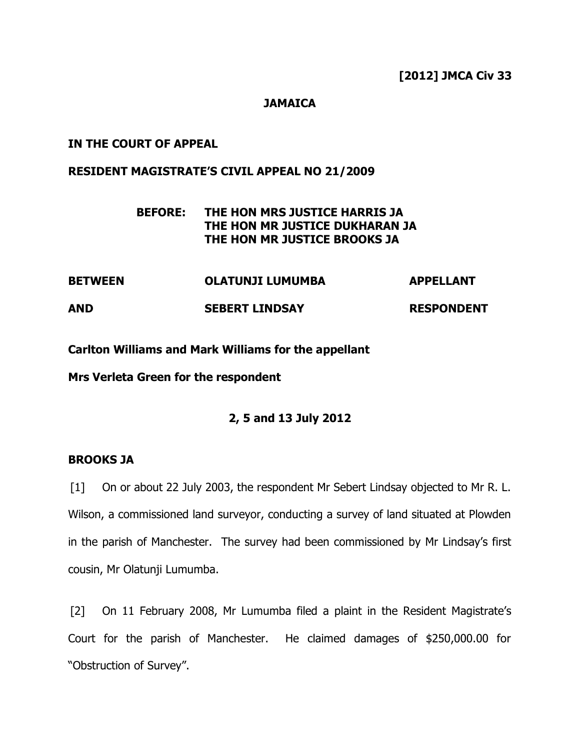# **JAMAICA**

#### **IN THE COURT OF APPEAL**

#### **RESIDENT MAGISTRATE'S CIVIL APPEAL NO 21/2009**

# **BEFORE: THE HON MRS JUSTICE HARRIS JA THE HON MR JUSTICE DUKHARAN JA THE HON MR JUSTICE BROOKS JA**

| <b>BETWEEN</b> | <b>OLATUNJI LUMUMBA</b> | <b>APPELLANT</b>  |
|----------------|-------------------------|-------------------|
| <b>AND</b>     | <b>SEBERT LINDSAY</b>   | <b>RESPONDENT</b> |

**Carlton Williams and Mark Williams for the appellant**

**Mrs Verleta Green for the respondent**

#### **2, 5 and 13 July 2012**

## **BROOKS JA**

[1] On or about 22 July 2003, the respondent Mr Sebert Lindsay objected to Mr R. L. Wilson, a commissioned land surveyor, conducting a survey of land situated at Plowden in the parish of Manchester. The survey had been commissioned by Mr Lindsay's first cousin, Mr Olatunji Lumumba.

[2] On 11 February 2008, Mr Lumumba filed a plaint in the Resident Magistrate's Court for the parish of Manchester. He claimed damages of \$250,000.00 for "Obstruction of Survey".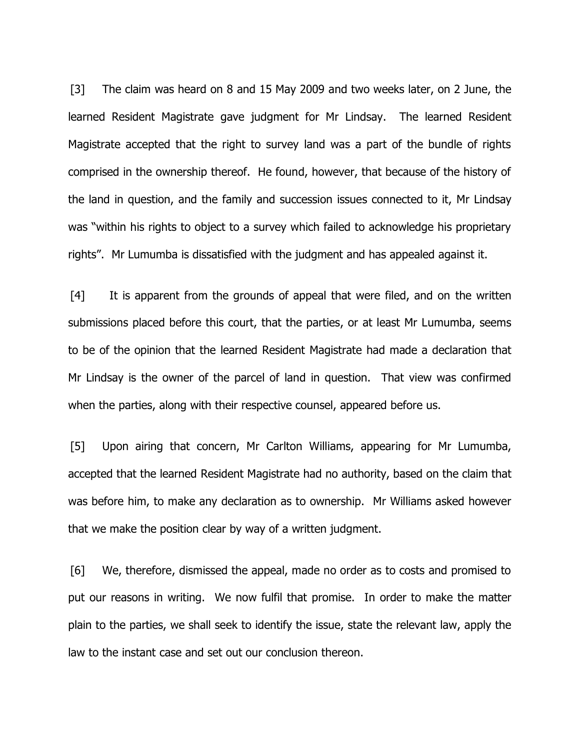[3] The claim was heard on 8 and 15 May 2009 and two weeks later, on 2 June, the learned Resident Magistrate gave judgment for Mr Lindsay. The learned Resident Magistrate accepted that the right to survey land was a part of the bundle of rights comprised in the ownership thereof. He found, however, that because of the history of the land in question, and the family and succession issues connected to it, Mr Lindsay was "within his rights to object to a survey which failed to acknowledge his proprietary rights". Mr Lumumba is dissatisfied with the judgment and has appealed against it.

[4] It is apparent from the grounds of appeal that were filed, and on the written submissions placed before this court, that the parties, or at least Mr Lumumba, seems to be of the opinion that the learned Resident Magistrate had made a declaration that Mr Lindsay is the owner of the parcel of land in question. That view was confirmed when the parties, along with their respective counsel, appeared before us.

[5] Upon airing that concern, Mr Carlton Williams, appearing for Mr Lumumba, accepted that the learned Resident Magistrate had no authority, based on the claim that was before him, to make any declaration as to ownership. Mr Williams asked however that we make the position clear by way of a written judgment.

[6] We, therefore, dismissed the appeal, made no order as to costs and promised to put our reasons in writing. We now fulfil that promise. In order to make the matter plain to the parties, we shall seek to identify the issue, state the relevant law, apply the law to the instant case and set out our conclusion thereon.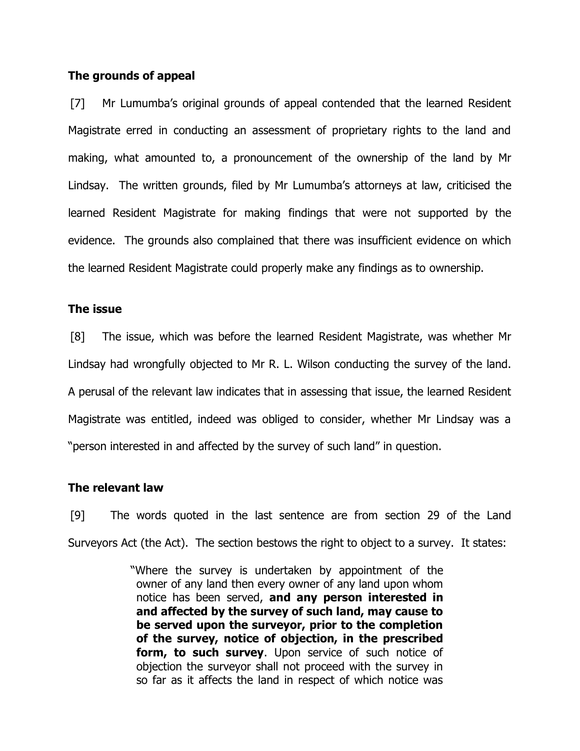# **The grounds of appeal**

[7] Mr Lumumba's original grounds of appeal contended that the learned Resident Magistrate erred in conducting an assessment of proprietary rights to the land and making, what amounted to, a pronouncement of the ownership of the land by Mr Lindsay. The written grounds, filed by Mr Lumumba's attorneys at law, criticised the learned Resident Magistrate for making findings that were not supported by the evidence. The grounds also complained that there was insufficient evidence on which the learned Resident Magistrate could properly make any findings as to ownership.

# **The issue**

[8] The issue, which was before the learned Resident Magistrate, was whether Mr Lindsay had wrongfully objected to Mr R. L. Wilson conducting the survey of the land. A perusal of the relevant law indicates that in assessing that issue, the learned Resident Magistrate was entitled, indeed was obliged to consider, whether Mr Lindsay was a "person interested in and affected by the survey of such land" in question.

# **The relevant law**

[9] The words quoted in the last sentence are from section 29 of the Land Surveyors Act (the Act). The section bestows the right to object to a survey. It states:

> "Where the survey is undertaken by appointment of the owner of any land then every owner of any land upon whom notice has been served, **and any person interested in and affected by the survey of such land, may cause to be served upon the surveyor, prior to the completion of the survey, notice of objection, in the prescribed form, to such survey**. Upon service of such notice of objection the surveyor shall not proceed with the survey in so far as it affects the land in respect of which notice was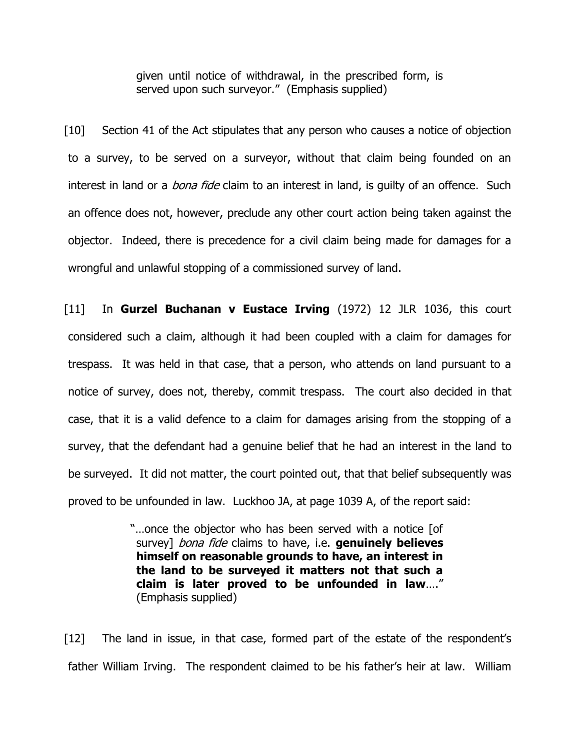given until notice of withdrawal, in the prescribed form, is served upon such surveyor." (Emphasis supplied)

[10] Section 41 of the Act stipulates that any person who causes a notice of objection to a survey, to be served on a surveyor, without that claim being founded on an interest in land or a *bona fide* claim to an interest in land, is guilty of an offence. Such an offence does not, however, preclude any other court action being taken against the objector. Indeed, there is precedence for a civil claim being made for damages for a wrongful and unlawful stopping of a commissioned survey of land.

[11] In **Gurzel Buchanan v Eustace Irving** (1972) 12 JLR 1036, this court considered such a claim, although it had been coupled with a claim for damages for trespass. It was held in that case, that a person, who attends on land pursuant to a notice of survey, does not, thereby, commit trespass. The court also decided in that case, that it is a valid defence to a claim for damages arising from the stopping of a survey, that the defendant had a genuine belief that he had an interest in the land to be surveyed. It did not matter, the court pointed out, that that belief subsequently was proved to be unfounded in law. Luckhoo JA, at page 1039 A, of the report said:

> "…once the objector who has been served with a notice [of survey] bona fide claims to have, i.e. **genuinely believes himself on reasonable grounds to have, an interest in the land to be surveyed it matters not that such a claim is later proved to be unfounded in law**…." (Emphasis supplied)

[12] The land in issue, in that case, formed part of the estate of the respondent's father William Irving. The respondent claimed to be his father's heir at law. William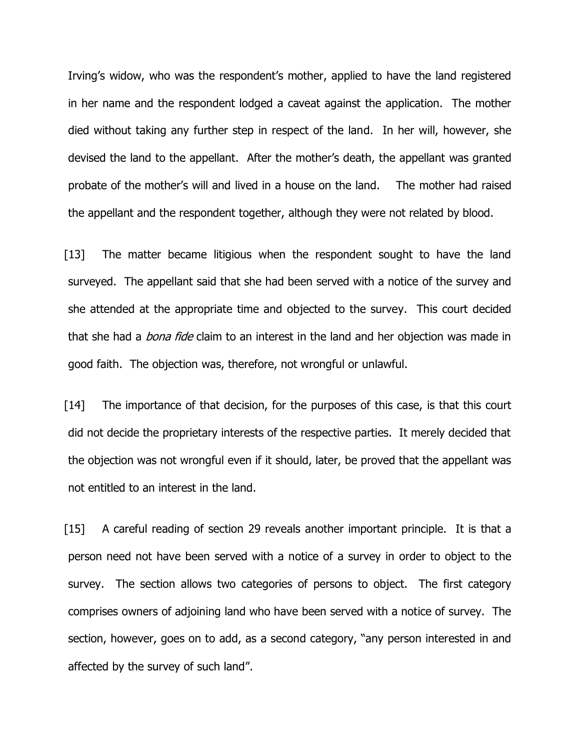Irving's widow, who was the respondent's mother, applied to have the land registered in her name and the respondent lodged a caveat against the application. The mother died without taking any further step in respect of the land. In her will, however, she devised the land to the appellant. After the mother's death, the appellant was granted probate of the mother's will and lived in a house on the land. The mother had raised the appellant and the respondent together, although they were not related by blood.

[13] The matter became litigious when the respondent sought to have the land surveyed. The appellant said that she had been served with a notice of the survey and she attended at the appropriate time and objected to the survey. This court decided that she had a *bona fide* claim to an interest in the land and her objection was made in good faith. The objection was, therefore, not wrongful or unlawful.

[14] The importance of that decision, for the purposes of this case, is that this court did not decide the proprietary interests of the respective parties. It merely decided that the objection was not wrongful even if it should, later, be proved that the appellant was not entitled to an interest in the land.

[15] A careful reading of section 29 reveals another important principle. It is that a person need not have been served with a notice of a survey in order to object to the survey. The section allows two categories of persons to object. The first category comprises owners of adjoining land who have been served with a notice of survey. The section, however, goes on to add, as a second category, "any person interested in and affected by the survey of such land".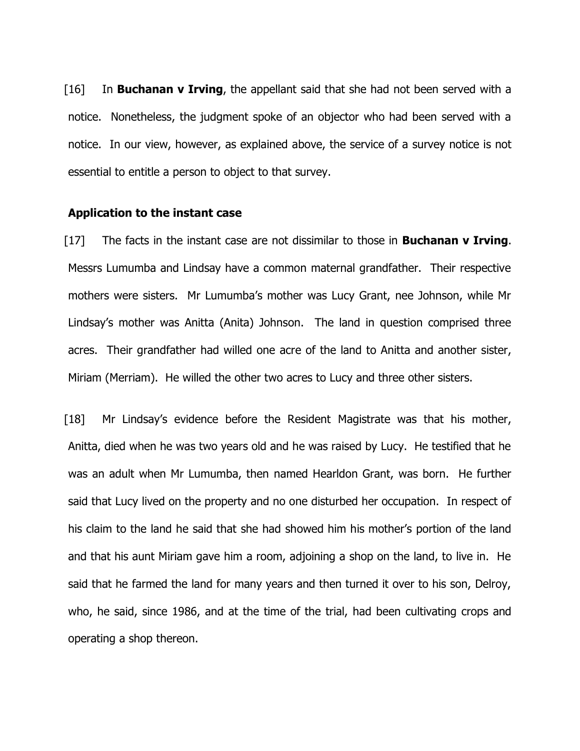[16] In **Buchanan v Irving**, the appellant said that she had not been served with a notice. Nonetheless, the judgment spoke of an objector who had been served with a notice. In our view, however, as explained above, the service of a survey notice is not essential to entitle a person to object to that survey.

#### **Application to the instant case**

[17] The facts in the instant case are not dissimilar to those in **Buchanan v Irving**. Messrs Lumumba and Lindsay have a common maternal grandfather. Their respective mothers were sisters. Mr Lumumba's mother was Lucy Grant, nee Johnson, while Mr Lindsay's mother was Anitta (Anita) Johnson. The land in question comprised three acres. Their grandfather had willed one acre of the land to Anitta and another sister, Miriam (Merriam). He willed the other two acres to Lucy and three other sisters.

[18] Mr Lindsay's evidence before the Resident Magistrate was that his mother, Anitta, died when he was two years old and he was raised by Lucy. He testified that he was an adult when Mr Lumumba, then named Hearldon Grant, was born. He further said that Lucy lived on the property and no one disturbed her occupation. In respect of his claim to the land he said that she had showed him his mother's portion of the land and that his aunt Miriam gave him a room, adjoining a shop on the land, to live in. He said that he farmed the land for many years and then turned it over to his son, Delroy, who, he said, since 1986, and at the time of the trial, had been cultivating crops and operating a shop thereon.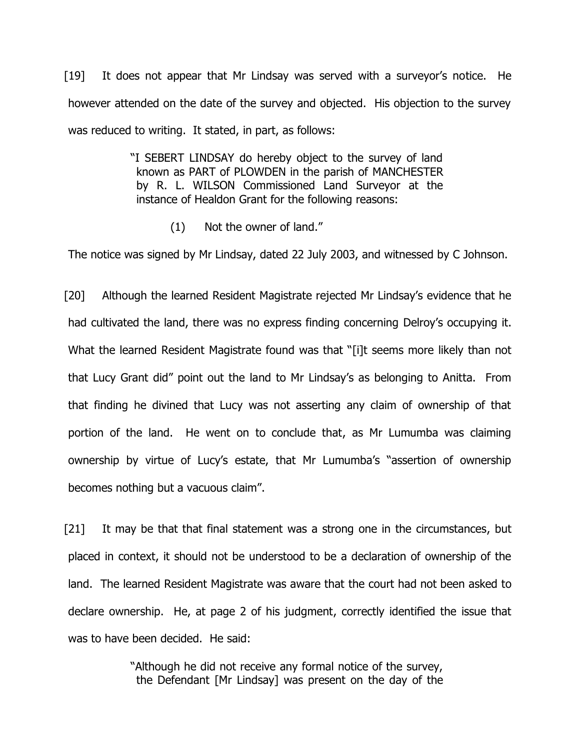[19] It does not appear that Mr Lindsay was served with a surveyor's notice. He however attended on the date of the survey and objected. His objection to the survey was reduced to writing. It stated, in part, as follows:

> "I SEBERT LINDSAY do hereby object to the survey of land known as PART of PLOWDEN in the parish of MANCHESTER by R. L. WILSON Commissioned Land Surveyor at the instance of Healdon Grant for the following reasons:

> > (1) Not the owner of land."

The notice was signed by Mr Lindsay, dated 22 July 2003, and witnessed by C Johnson.

[20] Although the learned Resident Magistrate rejected Mr Lindsay's evidence that he had cultivated the land, there was no express finding concerning Delroy's occupying it. What the learned Resident Magistrate found was that "[i]t seems more likely than not that Lucy Grant did" point out the land to Mr Lindsay's as belonging to Anitta. From that finding he divined that Lucy was not asserting any claim of ownership of that portion of the land. He went on to conclude that, as Mr Lumumba was claiming ownership by virtue of Lucy's estate, that Mr Lumumba's "assertion of ownership becomes nothing but a vacuous claim".

[21] It may be that that final statement was a strong one in the circumstances, but placed in context, it should not be understood to be a declaration of ownership of the land. The learned Resident Magistrate was aware that the court had not been asked to declare ownership. He, at page 2 of his judgment, correctly identified the issue that was to have been decided. He said:

> "Although he did not receive any formal notice of the survey, the Defendant [Mr Lindsay] was present on the day of the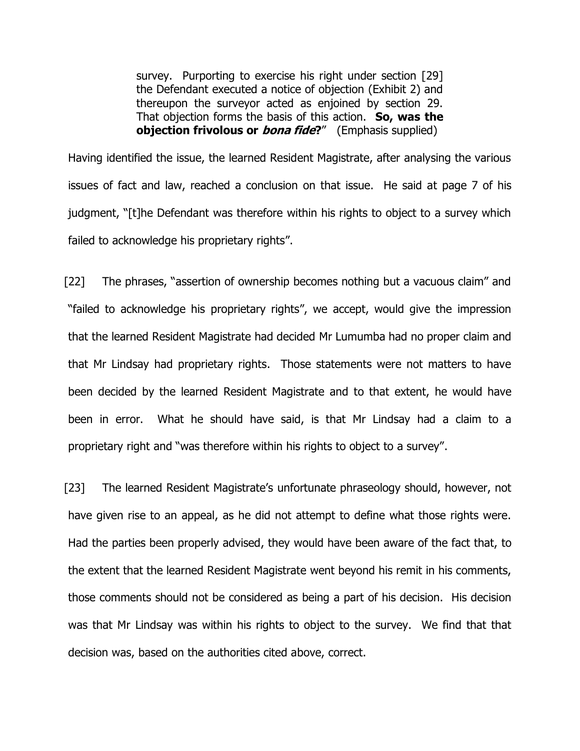survey. Purporting to exercise his right under section [29] the Defendant executed a notice of objection (Exhibit 2) and thereupon the surveyor acted as enjoined by section 29. That objection forms the basis of this action. **So, was the objection frivolous or bona fide?**" (Emphasis supplied)

Having identified the issue, the learned Resident Magistrate, after analysing the various issues of fact and law, reached a conclusion on that issue. He said at page 7 of his judgment, "[t]he Defendant was therefore within his rights to object to a survey which failed to acknowledge his proprietary rights".

[22] The phrases, "assertion of ownership becomes nothing but a vacuous claim" and "failed to acknowledge his proprietary rights", we accept, would give the impression that the learned Resident Magistrate had decided Mr Lumumba had no proper claim and that Mr Lindsay had proprietary rights. Those statements were not matters to have been decided by the learned Resident Magistrate and to that extent, he would have been in error. What he should have said, is that Mr Lindsay had a claim to a proprietary right and "was therefore within his rights to object to a survey".

[23] The learned Resident Magistrate's unfortunate phraseology should, however, not have given rise to an appeal, as he did not attempt to define what those rights were. Had the parties been properly advised, they would have been aware of the fact that, to the extent that the learned Resident Magistrate went beyond his remit in his comments, those comments should not be considered as being a part of his decision. His decision was that Mr Lindsay was within his rights to object to the survey. We find that that decision was, based on the authorities cited above, correct.